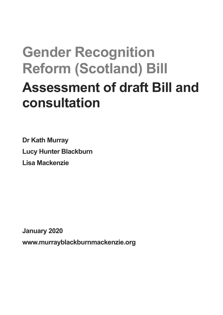# **Gender Recognition Reform (Scotland) Bill Assessment of draft Bill and consultation**

**Dr Kath Murray Lucy Hunter Blackburn Lisa Mackenzie**

**January 2020 www.murrayblackburnmackenzie.org**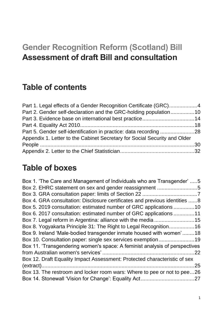# **Gender Recognition Reform (Scotland) Bill Assessment of draft Bill and consultation**

### **Table of contents**

| Part 1. Legal effects of a Gender Recognition Certificate (GRC)4          |  |
|---------------------------------------------------------------------------|--|
| Part 2. Gender self-declaration and the GRC-holding population10          |  |
|                                                                           |  |
|                                                                           |  |
|                                                                           |  |
| Appendix 1. Letter to the Cabinet Secretary for Social Security and Older |  |
|                                                                           |  |
|                                                                           |  |

### **Table of boxes**

| Box 1. 'The Care and Management of Individuals who are Transgender' 5      |    |
|----------------------------------------------------------------------------|----|
| Box 2. EHRC statement on sex and gender reassignment 5                     |    |
|                                                                            |    |
| Box 4. GRA consultation: Disclosure certificates and previous identities 8 |    |
| Box 5. 2019 consultation: estimated number of GRC applications 10          |    |
| Box 6. 2017 consultation: estimated number of GRC applications 11          |    |
| Box 7. Legal reform in Argentina: alliance with the media 15               |    |
| Box 8. Yogyakarta Principle 31: The Right to Legal Recognition16           |    |
| Box 9. Ireland 'Male-bodied transgender inmate housed with women'18        |    |
| Box 10. Consultation paper: single sex services exemption19                |    |
| Box 11. 'Transgendering women's space: A feminist analysis of perspectives |    |
|                                                                            | 22 |
| Box 12. Draft Equality Impact Assessment: Protected characteristic of sex  |    |
|                                                                            | 25 |
| Box 13. The restroom and locker room wars: Where to pee or not to pee26    |    |
|                                                                            |    |
|                                                                            |    |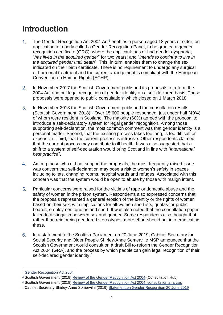### **Introduction**

- $1<sub>1</sub>$ The Gender Recognition Act 2004  $Act<sup>1</sup>$  enables a person aged 18 years or older, on application to a body called a Gender Recognition Panel, to be granted a gender recognition certificate (GRC), where the applicant: has or had gender dysphoria; "*has lived in the acquired gender*" for two years; and "*intends to continue to live in the acquired gender until death*". This, in turn, enables them to change the sex indicated on their birth certificate. There is no requirement to undergo any surgical or hormonal treatment and the current arrangement is compliant with the European Convention on Human Rights (ECHR).
- $2.$ In November 2017 the Scottish Government published its proposals to reform the 2004 Act and put legal recognition of gender identity on a self-declared basis. These proposals were opened to public consultation<sup>2</sup> which closed on 1 March 2018.
- $3<sub>1</sub>$ In November 2018 the Scottish Government published the consultation results (Scottish Government, 2018).<sup>3</sup> Over 15,600 people responded, just under half (49%) of whom were resident in Scotland. The majority (60%) agreed with the proposal to introduce a self-declaratory system for legal gender recognition. Among those supporting self-declaration, the most common comment was that gender identity is a personal matter. Second, that the existing process takes too long, is too difficult or expensive. Third, that the current process is intrusive. Other respondents claimed that the current process may contribute to ill health. It was also suggested that a shift to a system of self-declaration would bring Scotland in line with "*international best practice*".
- $4.$ Among those who did not support the proposals, the most frequently raised issue was concern that self-declaration may pose a risk to women's safety in spaces including toilets, changing rooms, hospital wards and refuges. Associated with this concern was that the system would be open to abuse by those with malign intent.
- 5. Particular concerns were raised for the victims of rape or domestic abuse and the safety of women in the prison system. Respondents also expressed concerns that the proposals represented a general erosion of the identity or the rights of women based on their sex, with implications for all-women shortlists, quotas for public boards, employment quotas and sport. It was also noted that the consultation paper failed to distinguish between sex and gender. Some respondents also thought that, rather than reinforcing gendered stereotypes, more effort should put into eradicating these.
- 6. In a statement to the Scottish Parliament on 20 June 2019, Cabinet Secretary for Social Security and Older People Shirley-Anne Somerville MSP announced that the Scottish Government would consult on a draft Bill to reform the Gender Recognition Act 2004 (GRA), and the process by which people can gain legal recognition of their self-declared gender identity.<sup>4</sup>

<sup>&</sup>lt;sup>1</sup> [Gender Recognition Act 2004](http://www.legislation.gov.uk/ukpga/2004/7/contents)

<sup>&</sup>lt;sup>2</sup> Scottish Government (2018) [Review of the Gender Recognition Act 2004](https://consult.gov.scot/family-law/review-of-the-gender-recognition-act-2004/) (Consultation Hub)

<sup>&</sup>lt;sup>3</sup> Scottish Government (2018) [Review of the Gender Recognition Act 2004: consultation analysis](https://www.gov.scot/publications/review-gender-recognition-act-2004-analysis-responses-public-consultation-exercise-report/)

<sup>4</sup> Cabinet Secretary Shirley-Anne Somerville (2019) [Statement on Gender Recognition 20 June 2019](https://news.gov.scot/speeches-and-briefings/statement-on-gender-recognition)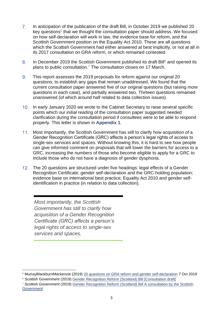- $7<sub>1</sub>$ In anticipation of the publication of the draft Bill, in October 2019 we published 20 key questions<sup>5</sup> that we thought the consultation paper should address. We focused on how self-declaration will work in law, the evidence base for reform, and the Scottish Government position on the Equality Act 2010. These are all questions which the Scottish Government had either answered at best implicitly, or not at all in its 2017 consultation on GRA reform, or which remained contested.
- <span id="page-3-0"></span>In December 2019 the Scottish Government published its draft Bill<sup>6</sup> and opened its 8. plans to public consultation.<sup>7</sup> The consultation closes on 17 March.
- 9. This report assesses the 2019 proposals for reform against our original 20 questions, to establish any gaps that remain unaddressed. We found that the current consultation paper answered five of our original questions (but raising more questions in each case), and partially answered two. Thirteen questions remained unanswered (of which around half related to data collection issues).
- 10. In early January 2020 we wrote to the Cabinet Secretary to raise several specific points which our initial reading of the consultation paper suggested needed clarification during the consultation period if consultees were to be able to respond properly. This letter is shown in **Appendix 1**.
- Most importantly, the Scottish Government has still to clarify how acquisition of a Gender Recognition Certificate (GRC) affects a person's legal rights of access to single-sex services and spaces. Without knowing this, it is hard to see how people can give informed comment on proposals that will lower the barriers for access to a GRC, increasing the numbers of those who become eligible to apply for a GRC to include those who do not have a diagnosis of gender dysphoria.
- 12. The 20 questions are structured under five headings: legal effects of a Gender Recognition Certificate; gender self-declaration and the GRC-holding population; evidence base on international best practice; Equality Act 2010 and gender selfidentification in practice (in relation to data collection).

*Most importantly, the Scottish Government has still to clarify how acquisition of a Gender Recognition Certificate (GRC) affects a person's legal rights of access to single-sex services and spaces.*

<sup>5</sup> MurrayBlackburnMackenzie (2019) [20 questions on GRA reform and gender self-declaration](https://murrayblackburnmackenzie.org/2019/10/07/20-questions-on-gra-reform-and-gender-self-declaration/) 7 Oct 2019

<sup>6</sup> Scottish Government (2019) [Gender Recognition Reform \(Scotland\) Bill \[Consultation draft\]](https://consult.gov.scot/family-law/gender-recognition-reform-scotland-bill/user_uploads/annex-c.pdf)

<sup>7</sup> Scottish Government (2019) [Gender Recognition Reform \(Scotland\) Bill A consultation by the Scottish](https://www.gov.scot/binaries/content/documents/govscot/publications/consultation-paper/2019/12/gender-recognition-reform-scotland-bill-consultation-scottish-government/documents/gender-recognition-reform-scotland-bill-consultation-scottish-government/gender-recognition-reform-scotland-bill-consultation-scottish-government/govscot%3Adocument/gender-recognition-reform-scotland-bill-consultation-scottish-government.pdf?forceDownload=true)  **[Government](https://www.gov.scot/binaries/content/documents/govscot/publications/consultation-paper/2019/12/gender-recognition-reform-scotland-bill-consultation-scottish-government/documents/gender-recognition-reform-scotland-bill-consultation-scottish-government/gender-recognition-reform-scotland-bill-consultation-scottish-government/govscot%3Adocument/gender-recognition-reform-scotland-bill-consultation-scottish-government.pdf?forceDownload=true)**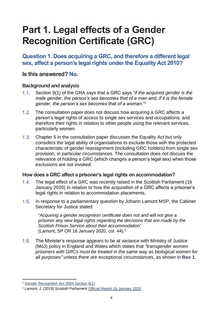# <span id="page-4-0"></span>**Part 1. Legal effects of a Gender Recognition Certificate (GRC)**

#### **Question 1. Does acquiring a GRC, and therefore a different legal sex, affect a person's legal rights under the Equality Act 2010?**

#### **Is this answered? No.**

#### **Background and analysis**

- Section 9(1) of the GRA says that a GRC says "*if the acquired gender is the*   $1.1.$ *male gender, the person's sex becomes that of a man and, if it is the female gender, the person's sex becomes that of a woman*."<sup>8</sup>
- $1.2.$ The consultation paper does not discuss how acquiring a GRC affects a person's legal rights of access to single sex services and occupations, and therefore their rights in relation to other people using the relevant services, particularly women.
- Chapter 5 in the consultation paper discusses the Equality Act but only considers the legal ability of organisations to exclude those with the protected characteristic of gender reassignment (including GRC holders) from single sex provision, in particular circumstances. The consultation does not discuss the relevance of holding a GRC (which changes a person's legal sex) when those exclusions are not invoked.

#### **How does a GRC affect a prisoner's legal rights on accommodation?**

- $1.4.$ The legal effect of a GRC was recently raised in the Scottish Parliament (16 January 2020) in relation to how the acquisition of a GRC affects a prisoner's legal rights in relation to accommodation placements.
- $1.5.$ In response to a parliamentary question by Johann Lamont MSP, the Cabinet Secretary for Justice stated:

"*Acquiring a gender recognition certificate does not and will not give a prisoner any new legal rights regarding the decisions that are made by the Scottish Prison Service about their accommodation*" (Lamont, SP OR 16 January 2020, col. 44). $9$ 

 $1.6.$ The Minister's response appears to be at variance with Ministry of Justice (MoJ) policy in England and Wales which states that *"transgender women prisoners with GRCs must be treated in the same way as biological women for all purposes"* unless there are exceptional circumstances, as shown in **Box 1**.

<sup>8</sup> [Gender Recognition Act 2004 Section 9\(1\)](http://www.legislation.gov.uk/ukpga/2004/7/section/9)

<sup>9</sup> Lamont, J. (2019) Scottish Parliament [Official Report 16 January 2020](http://www.parliament.scot/parliamentarybusiness/report.aspx?r=12459&mode=pdf)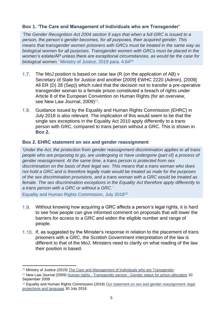#### <span id="page-5-0"></span>**Box 1. 'The Care and Management of Individuals who are Transgender'**

*'The Gender Recognition Act 2004 section 9 says that when a full GRC is issued to a person, the person's gender becomes, for all purposes, their acquired gender. This means that transgender women prisoners with GRCs must be treated in the same way as biological women for all purposes. Transgender women with GRCs must be placed in the women's estate/AP unless there are exceptional circumstances, as would be the case for biological women.'* Ministry of Justice, 2019 para. 4.64<sup>10</sup>

- $1.7.$ The MoJ position is based on case law (R (on the application of AB) v Secretary of State for Justice and another [2009] EWHC 2220 (Admin), [2009] All ER (D) 28 (Sep)) which ruled that the decision not to transfer a pre-operative transgender woman to a female prison constituted a breach of rights under Article 8 of the European Convention on Human Rights (for an overview, see New Law Journal, 2009)<sup>11</sup>.
- $1.8.$ Guidance issued by the Equality and Human Rights Commission (EHRC) in July 2018 is also relevant. The implication of this would seem to be that the single sex exceptions in the Equality Act 2010 apply differently to a trans person with GRC, compared to trans person without a GRC. This is shown in **[Box 2.](#page-5-1)**

#### <span id="page-5-1"></span>**Box 2. EHRC statement on sex and gender reassignment**

*'Under the Act, the protection from gender reassignment discrimination applies to all trans people who are proposing to go, are undergoing or have undergone (part of) a process of gender reassignment. At the same time, a trans person is protected from sex discrimination on the basis of their legal sex. This means that a trans woman who does not hold a GRC and is therefore legally male would be treated as male for the purposes of the sex discrimination provisions, and a trans woman with a GRC would be treated as female. The sex discrimination exceptions in the Equality Act therefore apply differently to a trans person with a GRC or without a GRC.'*

Equality and Human Rights Commission, July 2018<sup>12</sup>

- $1.9.$ Without knowing how acquiring a GRC affects a person's legal rights, it is hard to see how people can give informed comment on proposals that will lower the barriers for access to a GRC and widen the eligible number and range of people.
- 1.10. If, as suggested by the Minister's response in relation to the placement of trans prisoners with a GRC, the Scottish Government interpretation of the law is different to that of the MoJ, Ministers need to clarify on what reading of the law their position is based.

<sup>&</sup>lt;sup>10</sup> Ministry of Justice (2019) [The Care and Management of Individuals who are Transgender](https://assets.publishing.service.gov.uk/government/uploads/system/uploads/attachment_data/file/825621/transgender-pf.pdf)

<sup>&</sup>lt;sup>11</sup> New Law Journal (2009) Human rights - Transgender person - [Gender status for prison allocation](https://www.newlawjournal.co.uk/content/law-reports-106) 10 September 2009

<sup>&</sup>lt;sup>12</sup> Equality and Human Rights Commission (2018) Our statement on sex and gender reassignment: legal [protections and language](https://www.equalityhumanrights.com/en/our-work/news/our-statement-sex-and-gender-reassignment-legal-protections-and-language) 30 July 2018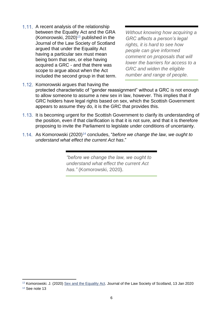1.11. A recent analysis of the relationship between the Equality Act and the GRA (Komorowski, 2020) $13$  published in the Journal of the Law Society of Scotland argued that under the Equality Act having a particular sex must mean being born that sex, or else having acquired a GRC - and that there was scope to argue about when the Act included the second group in that term.

<span id="page-6-0"></span>*Without knowing how acquiring a GRC affects a person's legal rights, it is hard to see how people can give informed comment on proposals that will lower the barriers for access to a GRC and widen the eligible number and range of people.* 

- 1.12. Komorowski argues that having the protected characteristic of "gender reassignment" without a GRC is not enough to allow someone to assume a new sex in law, however. This implies that if GRC holders have legal rights based on sex, which the Scottish Government appears to assume they do, it is the GRC that provides this.
- 1.13. It is becoming urgent for the Scottish Government to clarify its understanding of the position, even if that clarification is that it is not sure, and that it is therefore proposing to invite the Parliament to legislate under conditions of uncertainty.
- As Komorowski (2020)<sup>14</sup> concludes, "*before we change the law, we ought to understand what effect the current Act has*."

*"before we change the law, we ought to understand what effect the current Act has."* (Komorowski, 2020).

<sup>13</sup> Komorowski. J. (2020) [Sex and the Equality Act.](https://www.lawscot.org.uk/members/journal/issues/vol-65-issue-01/sex-and-the-equality-act/) Journal of the Law Society of Scotland, 13 Jan 2020

<sup>14</sup> See note [13](#page-6-0)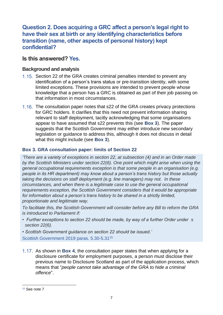**Question 2. Does acquiring a GRC affect a person's legal right to have their sex at birth or any identifying characteristics before transition (name, other aspects of personal history) kept confidential?**

#### **Is this answered? Yes.**

#### **Background and analysis**

- 1.15. Section 22 of the GRA creates criminal penalties intended to prevent any identification of a person's trans status or pre-transition identity, with some limited exceptions. These provisions are intended to prevent people whose knowledge that a person has a GRC is obtained as part of their job passing on that information in most circumstances.
- 1.16. The consultation paper notes that s22 of the GRA creates privacy protections for GRC holders. It clarifies that this need not prevent information sharing relevant to staff deployment, tacitly acknowledging that some organisations appear to have assumed that s22 prevents this (see **Box 3**). The paper suggests that the Scottish Government may either introduce new secondary legislation or guidance to address this, although it does not discuss in detail what this might include (see **Box 3**).

#### <span id="page-7-0"></span>**Box 3. GRA consultation paper: limits of Section 22**

*'There are a variety of exceptions in section 22, at subsection (4) and in an Order made by the Scottish Ministers under section 22(6). One point which might arise when using the general occupational requirements exception is that some people in an organisation (e.g. people in its HR department) may know about a person's trans history but those actually taking the decisions on staff deployment (e.g. line managers) may not. In these circumstances, and when there is a legitimate case to use the general occupational requirements exception, the Scottish Government considers that it would be appropriate for information about a person's trans history to be shared in a strictly limited, proportionate and legitimate way.* 

*To facilitate this, the Scottish Government will consider before any Bill to reform the GRA is introduced to Parliament if:* 

*• Further exceptions to section 22 should be made, by way of a further Order under s section 22(6).* 

*• Scottish Government guidance on section 22 should be issued.'* Scottish Government 2019 paras. 5.30-5.31<sup>15</sup>

As shown in **[Box 4](#page-8-0)**, the consultation paper states that when applying for a disclosure certificate for employment purposes, a person must disclose their previous name to Disclosure Scotland as part of the application process, which means that "*people cannot take advantage of the GRA to hide a criminal offence*".

<sup>15</sup> See note [7](#page-3-0)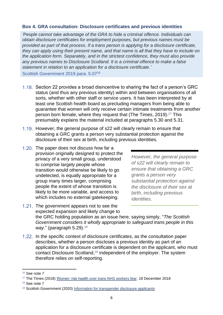#### <span id="page-8-0"></span>**Box 4. GRA consultation: Disclosure certificates and previous identities**

*'People cannot take advantage of the GRA to hide a criminal offence. Individuals can obtain disclosure certificates for employment purposes, but previous names must be provided as part of that process. If a trans person is applying for a disclosure certificate, they can apply using their present name, and that name is all that they have to include on the application form. Separately, and in the strictest confidence, they must also provide any previous names to Disclosure Scotland. It is a criminal offence to make a false statement in relation to an application for a disclosure certificate.'* Scottish Government 2019 para. 5.07<sup>16</sup>

- 1.18. Section 22 provides a broad disincentive to sharing the fact of a person's GRC status (and thus any previous identity) within and between organisations of all sorts, whether with other staff or service users. It has been interpreted by at least one Scottish health board as precluding managers from being able to guarantee that women will only receive certain intimate treatments from another person born female, where they request that (The Times, 2019). <sup>17</sup> This presumably explains the material included at paragraphs 5.30 and 5.31.
- 1.19. However, the general purpose of s22 will clearly remain to ensure that obtaining a GRC grants a person very substantial protection against the disclosure of their sex at birth, including previous identities.
- 1.20. The paper does not discuss how far a provision originally designed to protect the privacy of a very small group, understood to comprise largely people whose transition would otherwise be likely to go undetected, is equally appropriate for a group many times larger, comprising people the extent of whose transition is likely to be more variable, and access to which includes no external gatekeeping.

*However, the general purpose of s22 will clearly remain to ensure that obtaining a GRC grants a person very substantial protection against the disclosure of their sex at birth, including previous identities.*

- 1.21. The government appears not to see the expected expansion and likely change to the GRC holding population as an issue here, saying simply, "*The Scottish Government considers it wholly appropriate to safeguard trans people in this way*." (paragraph 5.29).<sup>18</sup>
- 1.22. In the specific context of disclosure certificates, as the consultation paper describes, whether a person discloses a previous identity as part of an application for a disclosure certificate is dependent on the applicant, who must contact Disclosure Scotland, <sup>19</sup> independent of the employer. The system therefore relies on self-reporting.

<sup>16</sup> See note [7](#page-3-0)

<sup>17</sup> The Times (2018) [Women 'risk health over trans NHS workers fear.](https://www.thetimes.co.uk/article/women-risk-health-over-trans-nhs-workers-fear-5dvz86f2l) 18 December 2018

<sup>18</sup> See note [7](#page-3-0)

<sup>19</sup> Scottish Government (2020) [Information for transgender disclosure applicants](https://www.mygov.scot/transgender-disclosure-application/)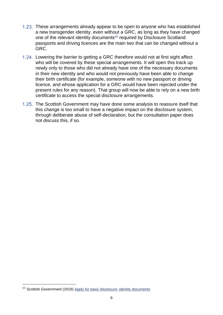- These arrangements already appear to be open to anyone who has established a new transgender identity, even without a GRC, as long as they have changed one of the relevant identity documents<sup>20</sup> required by Disclosure Scotland: passports and driving licences are the main two that can be changed without a GRC.
- 1.24. Lowering the barrier to getting a GRC therefore would not at first sight affect who will be covered by these special arrangements. It will open this track up newly only to those who did not already have one of the necessary documents in their new identity and who would not previously have been able to change their birth certificate (for example, someone with no new passport or driving licence, and whose application for a GRC would have been rejected under the present rules for any reason). That group will now be able to rely on a new birth certificate to access the special disclosure arrangements.
- 1.25. The Scottish Government may have done some analysis to reassure itself that this change is too small to have a negative impact on the disclosure system, through deliberate abuse of self-declaration, but the consultation paper does not discuss this, if so.

<sup>&</sup>lt;sup>20</sup> Scottish Government (2019) [Apply for basic disclosure: identity documents](https://www.mygov.scot/basic-disclosure/after-you-apply/)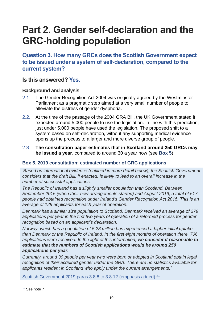# <span id="page-10-0"></span>**Part 2. Gender self-declaration and the GRC-holding population**

**Question 3. How many GRCs does the Scottish Government expect to be issued under a system of self-declaration, compared to the current system?**

#### **Is this answered? Yes.**

#### **Background and analysis**

- The Gender Recognition Act 2004 was originally agreed by the Westminster  $2.1.$ Parliament as a pragmatic step aimed at a very small number of people to alleviate the distress of gender dysphoria.
- $2.2.$ At the time of the passage of the 2004 GRA Bill, the UK Government stated it expected around 5,000 people to use the legislation. In line with this prediction, just under 5,000 people have used the legislation. The proposed shift to a system based on self-declaration, without any supporting medical evidence opens up the process to a larger and more diverse group of people.
- $2.3.$ **The consultation paper estimates that in Scotland around 250 GRCs may be issued a year**, compared to around 30 a year now (see **[Box 5](#page-10-1)**).

#### <span id="page-10-1"></span>**Box 5. 2019 consultation: estimated number of GRC applications**

*'Based on international evidence (outlined in more detail below), the Scottish Government considers that the draft Bill, if enacted, is likely to lead to an overall increase in the number of successful applications.* 

*The Republic of Ireland has a slightly smaller population than Scotland. Between September 2015 (when their new arrangements started) and August 2019, a total of 517 people had obtained recognition under Ireland's Gender Recognition Act 2015. This is an average of 129 applicants for each year of operation.* 

*Denmark has a similar size population to Scotland. Denmark received an average of 279 applications per year in the first two years of operation of a reformed process for gender recognition based on an applicant's declaration.* 

*Norway, which has a population of 5.23 million has experienced a higher initial uptake than Denmark or the Republic of Ireland. In the first eight months of operation there, 706 applications were received. In the light of this information, we consider it reasonable to estimate that the numbers of Scottish applications would be around 250 applications per year.* 

*Currently, around 30 people per year who were born or adopted in Scotland obtain legal recognition of their acquired gender under the GRA. There are no statistics available for applicants resident in Scotland who apply under the current arrangements.'*

Scottish Government 2019 paras 3.8.8 to 3.8.12 (emphasis added).<sup>21</sup>

<sup>21</sup> See note [7](#page-3-0)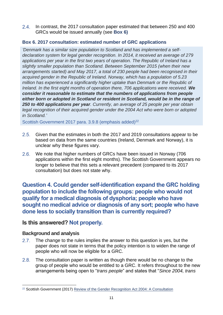$2.4.$ In contrast, the 2017 consultation paper estimated that between 250 and 400 GRCs would be issued annually (see **[Box 6\)](#page-11-0)**

#### <span id="page-11-0"></span>**Box 6. 2017 consultation: estimated number of GRC applications**

*'Denmark has a similar size population to Scotland and has implemented a selfdeclaration system for legal gender recognition. In 2014, it received an average of 279 applications per year in the first two years of operation. The Republic of Ireland has a slightly smaller population than Scotland. Between September 2015 (when their new arrangements started) and May 2017, a total of 230 people had been recognised in their acquired gender in the Republic of Ireland. Norway, which has a population of 5.23 million has experienced a significantly higher uptake than Denmark or the Republic of Ireland. In the first eight months of operation there, 706 applications were received. We consider it reasonable to estimate that the numbers of applications from people either born or adopted in Scotland or resident in Scotland, would be in the range of 250 to 400 applications per year. Currently, an average of 25 people per year obtain legal recognition of their acquired gender under the 2004 Act who were born or adopted in Scotland.'*

Scottish Government 2017 para, 3.9.8 (emphasis added)<sup>22</sup>

- $2.5.$ Given that the estimates in both the 2017 and 2019 consultations appear to be based on data from the same countries (Ireland, Denmark and Norway), it is unclear why these figures vary.
- We note that higher numbers of GRCs have been issued in Norway (706  $2.6.$ applications within the first eight months). The Scottish Government appears no longer to believe that this sets a relevant precedent (compared to its 2017 consultation) but does not state why.

**Question 4. Could gender self-identification expand the GRC holding population to include the following groups: people who would not qualify for a medical diagnosis of dysphoria; people who have sought no medical advice or diagnosis of any sort; people who have done less to socially transition than is currently required?**

#### **Is this answered? Not properly.**

#### **Background and analysis**

- $2.7.$ The change to the rules implies the answer to this question is yes, but the paper does not state in terms that the policy intention is to widen the range of people who will now be eligible for a GRC.
- $2.8.$ The consultation paper is written as though there would be no change to the group of people who would be entitled to a GRC. It refers throughout to the new arrangements being open to "*trans people*" and states that "*Since 2004, trans*

<sup>&</sup>lt;sup>22</sup> Scottish Government (2017) [Review of the Gender Recognition Act 2004: A Consultation](https://consult.gov.scot/family-law/review-of-the-gender-recognition-act-2004/user_uploads/sct1017251758-1_gender_p4--3-.pdf)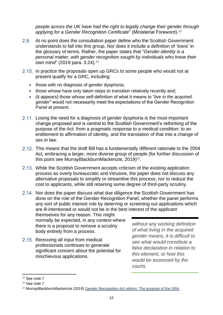*people across the UK have had the right to legally change their gender through applying for a Gender Recognition Certificate*" (Ministerial Foreword).<sup>23</sup>

- $2.9.$ At no point does the consultation paper define who the Scottish Government understands to fall into this group. Nor does it include a definition of 'trans' in the glossary of terms. Rather, the paper states that "*Gender identity is a personal matter, with gender recognition sought by individuals who know their*  own mind" (2019 para. 3.24).<sup>24</sup>
- 2.10. In practice the proposals open up GRCs to some people who would not at present qualify for a GRC, including:
	- those with no diagnosis of gender dysphoria;
	- those whose have only taken steps to transition relatively recently and;
	- (it appears) those whose self-definition of what it means to "*live in the acquired gender*" would not necessarily meet the expectations of the Gender Recognition Panel at present.
- 2.11. Losing the need for a diagnosis of gender dysphoria is the most important change proposed and is central to the Scottish Government's rethinking of the purpose of the Act: from a pragmatic response to a medical condition; to an entitlement to affirmation of identity, and the translation of that into a change of sex in law.
- 2.12. This means that the draft Bill has a fundamentally different rationale to the 2004 Act, embracing a larger, more diverse group of people (for further discussion of this point see MurrayBlackburnMackenzie, 2019) 25 .
- 2.13. While the Scottish Government accepts criticism of the existing application process as overly bureaucratic and intrusive, the paper does not discuss any alternative proposals to simplify or streamline this process, nor to reduce the cost to applicants, while still retaining some degree of third-party scrutiny.
- 2.14. Nor does the paper discuss what due diligence the Scottish Government has done on the role of the Gender Recognition Panel; whether the panel performs any sort of public interest role by deterring or screening out applications which are ill-intentioned or would not be in the best interest of the applicant

themselves for any reason. This might normally be expected, in any context where there is a proposal to remove a scrutiny body entirely from a process.

2.15. Removing all input from medical professionals continues to generate significant concern about the potential for mischievous applications.

*without any working definition of what living in the acquired gender means, it is difficult to see what would constitute a false declaration in relation to this element, or how this would be assessed by the courts.*

<sup>23</sup> See note [7](#page-3-0)

<sup>24</sup> See note [7](#page-3-0)

<sup>&</sup>lt;sup>25</sup> MurrayBlackburnMackenzie (2019) [Gender Recognition Act reform: The purpose of the GRA](https://murrayblackburnmackenzie.org/2019/12/27/gender-recognition-act-reform-the-purpose-of-the-gra/)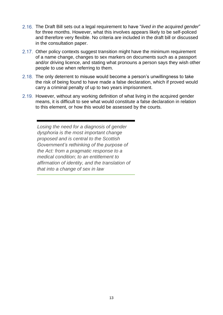- The Draft Bill sets out a legal requirement to have "*lived in the acquired gender*" for three months. However, what this involves appears likely to be self-policed and therefore very flexible. No criteria are included in the draft bill or discussed in the consultation paper.
- 2.17. Other policy contexts suggest transition might have the minimum requirement of a name change, changes to sex markers on documents such as a passport and/or driving licence, and stating what pronouns a person says they wish other people to use when referring to them.
- 2.18. The only deterrent to misuse would become a person's unwillingness to take the risk of being found to have made a false declaration, which if proved would carry a criminal penalty of up to two years imprisonment.
- 2.19. However, without any working definition of what living in the acquired gender means, it is difficult to see what would constitute a false declaration in relation to this element, or how this would be assessed by the courts.

*Losing the need for a diagnosis of gender dysphoria is the most important change proposed and is central to the Scottish Government's rethinking of the purpose of the Act: from a pragmatic response to a medical condition; to an entitlement to affirmation of identity, and the translation of that into a change of sex in law*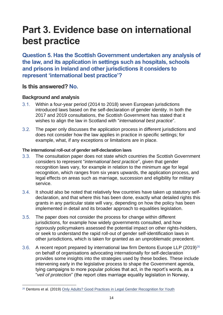# <span id="page-14-0"></span>**Part 3. Evidence base on international best practice**

**Question 5. Has the Scottish Government undertaken any analysis of the law, and its application in settings such as hospitals, schools and prisons in Ireland and other jurisdictions it considers to represent 'international best practice'?**

#### **Is this answered? No.**

#### **Background and analysis**

- $3.1.$ Within a four-year period (2014 to 2018) seven European jurisdictions introduced laws based on the self-declaration of gender identity. In both the 2017 and 2019 consultations, the Scottish Government has stated that it wishes to align the law in Scotland with "*international best practice*".
- $3.2$ The paper only discusses the application process in different jurisdictions and does not consider how the law applies in practice in specific settings; for example, what, if any exceptions or limitations are in place.

#### **The international roll-out of gender self-declaration laws**

- $3.3.$ The consultation paper does not state which countries the Scottish Government considers to represent "*international best practice*", given that gender recognition laws vary, for example in relation to the minimum age for legal recognition, which ranges from six years upwards, the application process, and legal effects on areas such as marriage, succession and eligibility for military service.
- $3.4.$ It should also be noted that relatively few countries have taken up statutory selfdeclaration, and that where this has been done, exactly what detailed rights this grants in any particular state will vary, depending on how the policy has been implemented in detail and its broader approach to equalities legislation.
- $3.5.$ The paper does not consider the process for change within different jurisdictions, for example how widely governments consulted, and how rigorously policymakers assessed the potential impact on other rights-holders, or seek to understand the rapid roll-out of gender self-identification laws in other jurisdictions, which is taken for granted as an unproblematic precedent.
- $3.6.$ A recent report prepared by international law firm Dentons Europe LLP (2019)<sup>26</sup> on behalf of organisations advocating internationally for self-declaration provides some insights into the strategies used by these bodies. These include intervening early in the legislative process to shape the Government agenda, tying campaigns to more popular policies that act, in the report's words, as a "*veil of protection*" (the report cites marriage equality legislation in Norway,

<sup>&</sup>lt;sup>26</sup> Dentons et al. (2019) [Only Adults? Good Practices in Legal Gender Recognition for Youth](https://www.iglyo.com/wp-content/uploads/2019/11/IGLYO_v3-1.pdf)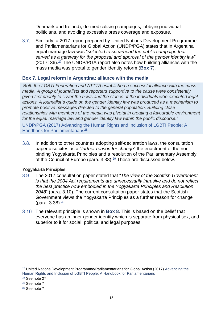Denmark and Ireland), de-medicalising campaigns, lobbying individual politicians, and avoiding excessive press coverage and exposure.

 $3.7.$ Similarly, a 2017 report prepared by United Nations Development Programme and Parliamentarians for Global Action (UNDP/PGA) states that in Argentina equal marriage law was "*selected to spearhead the public campaign that served as a gateway for the proposal and approval of the gender identity law*"  $(2017: 36).<sup>27</sup>$  The UNDP/PGA report also notes how building alliances with the mass media was pivotal to gender identity reform (**[Box 7](#page-15-0)**).

#### <span id="page-15-1"></span><span id="page-15-0"></span>**Box 7. Legal reform in Argentina: alliance with the media**

*'Both the LGBTI Federation and ATTTA established a successful alliance with the mass media. A group of journalists and reporters supportive to the cause were consistently given first priority to cover the news and the stories of the individuals who executed legal actions. A journalist´s guide on the gender identity law was produced as a mechanism to promote positive messages directed to the general population. Building close relationships with members of the media was pivotal in creating a favourable environment for the equal marriage law and gender identity law within the public discourse.'*

UNDP/PGA (2017) Advancing the Human Rights and Inclusion of LGBTI People: A Handbook for Parliamentarians<sup>28</sup>

 $3.8.$ In addition to other countries adopting self-declaration laws, the consultation paper also cites as a "*further reason for change*" the enactment of the nonbinding Yogyakarta Principles and a resolution of the Parliamentary Assembly of the Council of Europe (para. 3.38).<sup>29</sup> These are discussed below.

#### **Yogyakarta Principles**

- $3.9.$ The 2017 consultation paper stated that "*The view of the Scottish Government is that the 2004 Act requirements are unnecessarily intrusive and do not reflect the best practice now embodied in the Yogyakarta Principles and Resolution 2048*" (para. 3.10). The current consultation paper states that the Scottish Government views the Yogyakarta Principles as a further reason for change (para. 3.38).<sup>30</sup>
- The relevant principle is shown in **Box 8**. This is based on the belief that everyone has an inner gender identity which is separate from physical sex, and superior to it for social, political and legal purposes.

<sup>&</sup>lt;sup>27</sup> United Nations Development Programme/Parliamentarians for Global Action (2017) Advancing the [Human Rights and Inclusion of LGBTI People: A Handbook for Parliamentarians](https://www.th.undp.org/content/dam/thailand/docs/publications/LGBTI/UNDP_TH_rbap-2017-parliamentarians-handbook-lgbti-inclusion.pdf)

<sup>28</sup> See note [27](#page-15-1)

<sup>29</sup> See note [7](#page-3-0)

<sup>30</sup> See note [7](#page-3-0)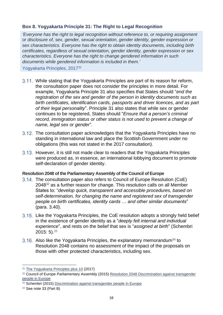#### <span id="page-16-0"></span>**Box 8. Yogyakarta Principle 31: The Right to Legal Recognition**

*'Everyone has the right to legal recognition without reference to, or requiring assignment or disclosure of, sex, gender, sexual orientation, gender identity, gender expression or sex characteristics. Everyone has the right to obtain identity documents, including birth certificates, regardless of sexual orientation, gender identity, gender expression or sex characteristics. Everyone has the right to change gendered information in such documents while gendered information is included in them.'*

Yogyakarta Principles, 2017<sup>31</sup>

- While stating that the Yogyakarta Principles are part of its reason for reform, the consultation paper does not consider the principles in more detail. For example, Yogyakarta Principle 31 also specifies that States should "*end the registration of the sex and gender of the person in identity documents such as birth certificates, identification cards, passports and driver licences, and as part of their legal personality*". Principle 31 also states that while sex or gender continues to be registered, States should "*Ensure that a person's criminal record, immigration status or other status is not used to prevent a change of name, legal sex or gender*".
- 3.12. The consultation paper acknowledges that the Yogyakarta Principles have no standing in international law and place the Scottish Government under no obligations (this was not stated in the 2017 consultation).
- 3.13. However, it is still not made clear to readers that the Yogyakarta Principles were produced as, in essence, an international lobbying document to promote self-declaration of gender identity.

#### **Resolution 2048 of the Parliamentary Assembly of the Council of Europe**

- The consultation paper also refers to Council of Europe Resolution (CoE) 2048<sup>32</sup> as a further reason for change. This resolution calls on all Member States to: "*develop quick, transparent and accessible procedures, based on self-determination, for changing the name and registered sex of transgender people on birth certificates, identity cards … and other similar documents*" (para. 3.40).
- Like the Yogyakarta Principles, the CoE resolution adopts a strongly held belief in the existence of gender identity as a "*deeply felt internal and individual experience*", and rests on the belief that sex is "*assigned at birth*" (Schembri  $2015: 5$ ).  $33$
- <span id="page-16-1"></span>3.16. Also like the Yogyakarta Principles, the explanatory memorandum<sup>34</sup> to Resolution 2048 contains no assessment of the impact of the proposals on those with other protected characteristics, including sex.

<sup>31</sup> [The Yogyakarta Principles plus 10](http://yogyakartaprinciples.org/wp-content/uploads/2017/11/A5_yogyakartaWEB-2.pdf) (2017)

<sup>32</sup> Council of Europe Parliamentary Assembly (2015) Resolution 2048 Discrimination against transgender [people in Europe](http://semantic-pace.net/tools/pdf.aspx?doc=aHR0cDovL2Fzc2VtYmx5LmNvZS5pbnQvbncveG1sL1hSZWYvWDJILURXLWV4dHIuYXNwP2ZpbGVpZD0yMTczNiZsYW5nPUVO&xsl=aHR0cDovL3NlbWFudGljcGFjZS5uZXQvWHNsdC9QZGYvWFJlZi1XRC1BVC1YTUwyUERGLnhzbA==&xsltparams=ZmlsZWlkPTIxNzM2)

<sup>33</sup> Schembri (2015) [Discrimination against transgender people in Europe](http://semantic-pace.net/tools/pdf.aspx?doc=aHR0cDovL2Fzc2VtYmx5LmNvZS5pbnQvbncveG1sL1hSZWYvWDJILURXLWV4dHIuYXNwP2ZpbGVpZD0yMTYzMCZsYW5nPUVO&xsl=aHR0cDovL3NlbWFudGljcGFjZS5uZXQvWHNsdC9QZGYvWFJlZi1XRC1BVC1YTUwyUERGLnhzbA==&xsltparams=ZmlsZWlkPTIxNjMw)

<sup>34</sup> See note [33](#page-16-1) (Part B)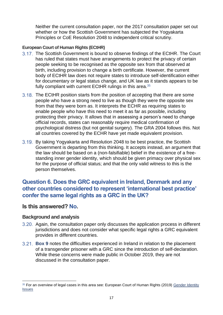Neither the current consultation paper, nor the 2017 consultation paper set out whether or how the Scottish Government has subjected the Yogyakarta Principles or CoE Resolution 2048 to independent critical scrutiny.

#### **European Court of Human Rights (ECtHR)**

- 3.17. The Scottish Government is bound to observe findings of the ECtHR. The Court has ruled that states must have arrangements to protect the privacy of certain people seeking to be recognised as the opposite sex from that observed at birth, including provision to change a birth certificate. However, the current body of ECtHR law does not require states to introduce self-identification either for documentary or legal status change, and UK law as it stands appears to be fully compliant with current ECtHR rulings in this area.<sup>35</sup>
- 3.18. The ECtHR position starts from the position of accepting that there are some people who have a strong need to live as though they were the opposite sex from that they were born as. It interprets the ECHR as requiring states to enable people who have this need to meet it as far as possible, including protecting their privacy. It allows that in assessing a person's need to change official records, states can reasonably require medical confirmation of psychological distress (but not genital surgery). The GRA 2004 follows this. Not all countries covered by the ECHR have yet made equivalent provision.
- By taking Yogyakarta and Resolution 2048 to be best practice, the Scottish Government is departing from this thinking. It accepts instead, an argument that the law should be based on a (non-falsifiable) belief in the existence of a freestanding inner gender identity, which should be given primacy over physical sex for the purpose of official status; and that the only valid witness to this is the person themselves.

#### **Question 6. Does the GRC equivalent in Ireland, Denmark and any other countries considered to represent 'international best practice' confer the same legal rights as a GRC in the UK?**

#### **Is this answered? No.**

#### **Background and analysis**

- Again, the consultation paper only discusses the application process in different jurisdictions and does not consider what specific legal rights a GRC equivalent provides in different countries.
- **[Box 9](#page-18-1)** notes the difficulties experienced in Ireland in relation to the placement of a transgender prisoner with a GRC since the introduction of self-declaration. While these concerns were made public in October 2019, they are not discussed in the consultation paper.

<sup>&</sup>lt;sup>35</sup> For an overview of legal cases in this area see: European Court of Human Rights (2019) Gender Identity **[Issues](https://www.echr.coe.int/Documents/FS_Gender_identity_ENG.pdf)**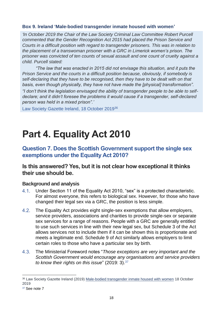#### <span id="page-18-1"></span>**Box 9. Ireland 'Male-bodied transgender inmate housed with women'**

*'In October 2019 the Chair of the Law Society Criminal Law Committee Robert Purcell commented that the Gender Recognition Act 2015 had placed the Prison Service and Courts in a difficult position with regard to transgender prisoners. This was in relation to the placement of a transwoman prisoner with a GRC in Limerick women's prison. The prisoner was convicted of ten counts of sexual assault and one count of cruelty against a child. Purcell stated:* 

*"The law that was enacted in 2015 did not envisage this situation, and it puts the Prison Service and the courts in a difficult position because, obviously, if somebody is self-declaring that they have to be recognised, then they have to be dealt with on that basis, even though physically, they have not have made the [physical] transformation".*

*"I don't think the legislation envisaged the ability of transgender people to be able to selfdeclare; and it didn't foresee the problems it would cause if a transgender, self-declared person was held in a mixed prison".'*

Law Society Gazette Ireland, 18 October 2019<sup>36</sup>

# <span id="page-18-0"></span>**Part 4. Equality Act 2010**

**Question 7. Does the Scottish Government support the single sex exemptions under the Equality Act 2010?**

#### **Is this answered? Yes, but it is not clear how exceptional it thinks their use should be.**

#### **Background and analysis**

- Under Section 11 of the Equality Act 2010, "sex" is a protected characteristic.  $4.1.$ For almost everyone, this refers to biological sex. However, for those who have changed their legal sex via a GRC, the position is less simple.
- $4.2.$ The Equality Act provides eight single-sex exemptions that allow employers, service providers, associations and charities to provide single-sex or separate sex services for a range of reasons. People with a GRC are generally entitled to use such services in line with their new legal sex, but Schedule 3 of the Act allows services not to include them if it can be shown this is proportionate and meets a legitimate end. Schedule 9 of Act similarly allows employers to limit certain roles to those who have a particular sex by birth.
- $4.3.$ The Ministerial Foreword notes "*Those exceptions are very important and the Scottish Government would encourage any organisations and service providers to know their rights on this issue*" (2019: 3). 37

<sup>36</sup> [Law Society Gazette Ireland](https://www.lawsociety.ie/gazette/top-stories/male-bodied-transgender-inmate-housed-with-women-prisoners/) (2019) [Male-bodied transgender inmate housed with women](https://www.lawsociety.ie/gazette/top-stories/male-bodied-transgender-inmate-housed-with-women-prisoners/) 18 October 2019

<sup>37</sup> See note [7](#page-3-0)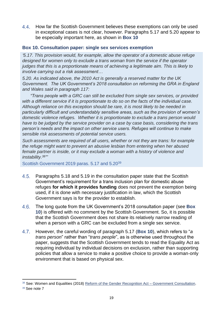$4.4.$ How far the Scottish Government believes these exemptions can only be used in exceptional cases is not clear, however. Paragraphs 5.17 and 5.20 appear to be especially important here, as shown in **[Box 10](#page-19-0)**

#### <span id="page-19-0"></span>**Box 10. Consultation paper: single sex services exemption**

*'5.17. This provision would, for example, allow the operator of a domestic abuse refuge designed for women only to exclude a trans woman from the service if the operator judges that this is a proportionate means of achieving a legitimate aim. This is likely to involve carrying out a risk assessment…* 

*5.20. As indicated above, the 2010 Act is generally a reserved matter for the UK Government. The UK Government's 2018 consultation on reforming the GRA in England and Wales said in paragraph 117:* 

*"Trans people with a GRC can still be excluded from single sex services, or provided with a different service if it is proportionate to do so on the facts of the individual case. Although reliance on this exception should be rare, it is most likely to be needed in particularly difficult and understandably sensitive areas, such as the provision of women's domestic violence refuges. Whether it is proportionate to exclude a trans person would have to be judged by the service provider on a case by case basis, considering the trans person's needs and the impact on other service users. Refuges will continue to make sensible risk assessments of potential service users.* 

*Such assessments are required of all users, whether or not they are trans: for example the refuge might want to prevent an abusive lesbian from entering when her abused female partner is inside, or it may exclude a woman with a history of violence and instability. 38 "'*

Scottish Government 2019 paras. 5.17 and 5.20<sup>39</sup>

- $4.5.$ Paragraphs 5.18 and 5.19 in the consultation paper state that the Scottish Government's requirement for a trans inclusion plan for domestic abuse refuges **for which it provides funding** does not prevent the exemption being used, if it is done with necessary justification in law, which the Scottish Government says is for the provider to establish.
- $4.6.$ The long quote from the UK Government's 2018 consultation paper (see **[Box](#page-19-0)  [10](#page-19-0)**) is offered with no comment by the Scottish Government. So, it is possible that the Scottish Government does not share its relatively narrow reading of when a person with a GRC can be excluded from a single sex service.
- However, the careful wording of paragraph 5.17 (**[Box 10](#page-19-0)**), which refers to "*a*   $4.7.$ *trans person*" rather than "*trans people*", as is otherwise used throughout the paper, suggests that the Scottish Government tends to read the Equality Act as requiring individual by individual decisions on exclusion, rather than supporting policies that allow a service to make a positive choice to provide a woman-only environment that is based on physical sex.

<sup>38</sup> See: Women and Equalities (2018) [Reform of the Gender Recognition Act](https://assets.publishing.service.gov.uk/government/uploads/system/uploads/attachment_data/file/721725/GRA-Consultation-document.pdf) – Government Consultation.

<sup>39</sup> See note [7](#page-3-0)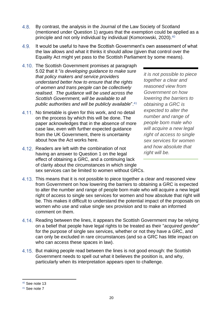- 4.8. By contrast, the analysis in the Journal of the Law Society of Scotland (mentioned under Question 1) argues that the exemption could be applied as a principle and not only individual by individual (Komorowski, 2020).<sup>40</sup>
- $4.9.$ It would be useful to have the Scottish Government's own assessment of what the law allows and what it thinks it should allow (given that control over the Equality Act might yet pass to the Scottish Parliament by some means).
- 4.10. The Scottish Government promises at paragraph 5.02 that it "*is developing guidance to make sure that policy makers and service providers understand better how to ensure that the rights of women and trans people can be collectively realised. The guidance will be used across the Scottish Government, will be available to all public authorities and will be publicly available*".<sup>41</sup>
- 4.11. No timetable is given for this work, and no detail on the process by which this will be done. The paper acknowledges that in the absence of more case law, even with further expected guidance from the UK Government, there is uncertainty about how the Act works here.
- 4.12. Readers are left with the combination of not having an answer to Question 1 on the legal effect of obtaining a GRC, and a continuing lack of clarity about the circumstances in which single sex services can be limited to women without GRCs.

*it is not possible to piece together a clear and reasoned view from Government on how lowering the barriers to obtaining a GRC is expected to alter the number and range of people born male who will acquire a new legal right of access to single sex services for women and how absolute that right will be.*

- 4.13. This means that it is not possible to piece together a clear and reasoned view from Government on how lowering the barriers to obtaining a GRC is expected to alter the number and range of people born male who will acquire a new legal right of access to single sex services for women and how absolute that right will be. This makes it difficult to understand the potential impact of the proposals on women who use and value single sex provision and to make an informed comment on them.
- 4.14. Reading between the lines, it appears the Scottish Government may be relying on a belief that people have legal rights to be treated as their "*acquired gender*" for the purpose of single sex services, whether or not they have a GRC, and can only be excluded in rare circumstances (and so a GRC has little impact on who can access these spaces in law).
- 4.15. But making people read between the lines is not good enough: the Scottish Government needs to spell out what it believes the position is, and why, particularly when its interpretation appears open to challenge.

<sup>40</sup> See note [13](#page-6-0)

<sup>41</sup> See note [7](#page-3-0)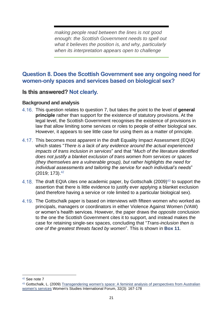*making people read between the lines is not good enough: the Scottish Government needs to spell out what it believes the position is, and why, particularly when its interpretation appears open to challenge*

#### **Question 8. Does the Scottish Government see any ongoing need for women-only spaces and services based on biological sex?**

#### **Is this answered? Not clearly.**

#### **Background and analysis**

- This question relates to question 7, but takes the point to the level of **general principle** rather than support for the existence of statutory provisions. At the legal level, the Scottish Government recognises the existence of provisions in law that allow limiting some services or roles to people of either biological sex. However, it appears to see little case for using them as a matter of principle.
- 4.17. This becomes most apparent in the draft Equality Impact Assessment (EQIA) which states "*There is a lack of any evidence around the actual experienced impacts of trans inclusion in services*" and that "*Much of the literature identified does not justify a blanket exclusion of trans women from services or spaces (they themselves are a vulnerable group), but rather highlights the need for individual assessments and tailoring the service for each individual's needs*" (2019; 173). 42
- <span id="page-21-0"></span>4.18. The draft EQIA cites one academic paper, by Gottschalk (2009)<sup>43</sup> to support the assertion that there is little evidence to justify ever applying a blanket exclusion (and therefore having a service or role limited to a particular biological sex).
- The Gottschalk paper is based on interviews with fifteen women who worked as principals, managers or coordinators in either Violence Against Women (VAW) or women's health services. However, the paper draws the *opposite* conclusion to the one the Scottish Government cites it to support, and instead makes the case for retaining single-sex spaces, concluding that "*Trans-inclusion then is one of the greatest threats faced by women*". This is shown in **Box 11**.

<sup>42</sup> See note [7](#page-3-0)

<sup>43</sup> Gottschalk, L. (2009) Transgendering women's space: A feminist analysis of perspectives from Australian [women's services](https://www.sciencedirect.com/science/article/abs/pii/S0277539509000478) Women's Studies International Forum, 32(3): 167-178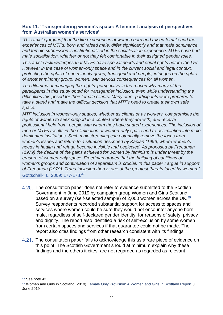#### <span id="page-22-0"></span>**Box 11. 'Transgendering women's space: A feminist analysis of perspectives from Australian women's services'**

*'This article [argues] that the life experiences of women born and raised female and the experiences of MTFs, born and raised male, differ significantly and that male dominance and female submission is institutionalised in the socialisation experience. MTFs have had male socialisation, whether or not they felt comfortable in their assigned gender roles.* 

*This article acknowledges that MTFs have special needs and equal rights before the law. However in the case of women-only space and in the current social and legal context, protecting the rights of one minority group, transgendered people, infringes on the rights of another minority group, women, with serious consequences for all women.* 

*The dilemma of managing the 'rights' perspective is the reason why many of the participants in this study opted for transgender inclusion, even while understanding the difficulties this posed for their female clients. Many other participants were prepared to take a stand and make the difficult decision that MTFs need to create their own safe space.* 

*MTF inclusion in women-only spaces, whether as clients or as workers, compromises the rights of women to seek support in a context where they are with, and receive professional help from, people with whom they have shared experiences. The inclusion of men or MTFs results in the elimination of women-only space and re-assimilation into male dominated institutions. Such mainstreaming can potentially remove the focus from women's issues and return to a situation described by Kaplan (1996) where women's needs in health and refuge become invisible and neglected. As proposed by Freedman (1979) the decline of the gains achieved for women by feminism is under threat by the erasure of women-only space. Freedman argues that the building of coalitions of women's groups and continuation of separatism is crucial. In this paper I argue in support of Freedman (1979). Trans-inclusion then is one of the greatest threats faced by women.'* Gottschalk, L. 2009: 177-178. 44

The consultation paper does not refer to evidence submitted to the Scottish Government in June 2019 by campaign group Women and Girls Scotland, based on a survey (self-selected sample) of 2,000 women across the UK.<sup>45</sup> Survey respondents recorded substantial support for access to spaces and

- services where women could be sure they would not encounter anyone born male, regardless of self-declared gender identity, for reasons of safety, privacy and dignity. The report also identified a risk of self-exclusion by some women from certain spaces and services if that guarantee could not be made. The report also cites findings from other research consistent with its findings.
- 4.21. The consultation paper fails to acknowledge this as a rare piece of evidence on this point. The Scottish Government should at minimum explain why these findings and the others it cites, are not regarded as regarded as relevant.

<sup>44</sup> See note [43](#page-21-0)

<sup>45</sup> Women and Girls in Scotland (2019) [Female Only Provision: A Women and Girls in Scotland Report](https://secureservercdn.net/160.153.137.99/hjn.a49.myftpupload.com/wp-content/uploads/2019/09/WGS_female_only_provision_report.pdf) 3 June 2019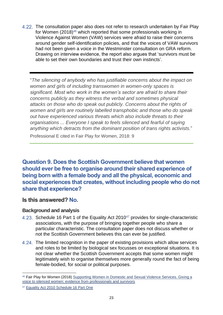The consultation paper also does not refer to research undertaken by Fair Play for Women (2018)<sup>46</sup> which reported that some professionals working in Violence Against Women (VAW) services were afraid to raise their concerns around gender self-identification policies, and that the voices of VAW survivors had not been given a voice in the Westminster consultation on GRA reform. Drawing on interview evidence, the report also argues that 'survivors must be able to set their own boundaries and trust their own instincts'.

"*The silencing of anybody who has justifiable concerns about the impact on women and girls of including transwomen in women-only spaces is significant. Most who work in the women's sector are afraid to share their concerns publicly as they witness the verbal and sometimes physical attacks on those who do speak out publicly. Concerns about the rights of women and girls are routinely labelled transphobic and those who do speak out have experienced various threats which also include threats to their organisations ... Everyone I speak to feels silenced and fearful of saying anything which detracts from the dominant position of trans rights activists.*"

Professional E cited in Fair Play for Women, 2018: 9

**Question 9. Does the Scottish Government believe that women should ever be free to organise around their shared experience of being born with a female body and all the physical, economic and social experiences that creates, without including people who do not share that experience?**

#### **Is this answered? No.**

#### **Background and analysis**

- 4.23. Schedule 16 Part 1 of the Equality Act 2010<sup>47</sup> provides for single-characteristic associations, with the purpose of bringing together people who share a particular characteristic. The consultation paper does not discuss whether or not the Scottish Government believes this can ever be justified.
- 4.24. The limited recognition in the paper of existing provisions which allow services and roles to be limited by biological sex focusses on exceptional situations. It is not clear whether the Scottish Government accepts that some women might legitimately wish to organise themselves more generally round the fact of being female-bodied, for social or political purposes.

<sup>46</sup> Fair Play for Women (2018) [Supporting Women in Domestic and Sexual Violence Services. Giving a](https://fairplayforwomen.com/wp-content/uploads/2018/09/FPFW_report_19SEPT2018.pdf)  [voice to silenced women: evidence from professionals and survivors](https://fairplayforwomen.com/wp-content/uploads/2018/09/FPFW_report_19SEPT2018.pdf)

<sup>47</sup> [Equality Act 2010 Schedule 16 Part One](http://www.legislation.gov.uk/ukpga/2010/15/schedule/16/crossheading/single-characteristic-associations)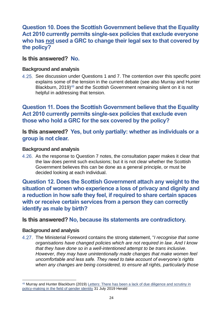**Question 10. Does the Scottish Government believe that the Equality Act 2010 currently permits single-sex policies that exclude everyone who has not used a GRC to change their legal sex to that covered by the policy?**

#### **Is this answered? No.**

#### **Background and analysis**

4.25. See discussion under Questions 1 and 7. The contention over this specific point explains some of the tension in the current debate (see also Murray and Hunter Blackburn, 2019)<sup>48</sup> and the Scottish Government remaining silent on it is not helpful in addressing that tension.

**Question 11. Does the Scottish Government believe that the Equality Act 2010 currently permits single-sex policies that exclude even those who hold a GRC for the sex covered by the policy?**

**Is this answered? Yes, but only partially: whether as individuals or a group is not clear.**

#### **Background and analysis**

4.26. As the response to Question 7 notes, the consultation paper makes it clear that the law does permit such exclusions; but it is not clear whether the Scottish Government believes this can be done as a general principle, or must be decided looking at each individual.

**Question 12. Does the Scottish Government attach any weight to the situation of women who experience a loss of privacy and dignity and a reduction in how safe they feel, if required to share certain spaces with or receive certain services from a person they can correctly identify as male by birth?**

#### **Is this answered? No, because its statements are contradictory.**

#### **Background and analysis**

The Ministerial Foreword contains the strong statement, "*I recognise that some organisations have changed policies which are not required in law. And I know that they have done so in a well-intentioned attempt to be trans inclusive. However, they may have unintentionally made changes that make women feel uncomfortable and less safe. They need to take account of everyone's rights when any changes are being considered, to ensure all rights, particularly those* 

<sup>48</sup> Murray and Hunter Blackburn (2019) Letters: There has been a lack of due diligence and scrutiny in [policy-making in the field of gender identity](https://www.heraldscotland.com/opinion/17805590.letters-lack-due-diligence-scrutiny-policy-making-field-gender-identity/) 31 July 2019 Herald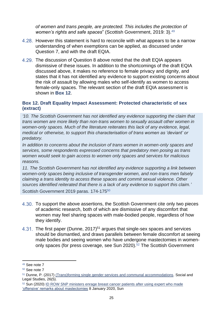*of women and trans people, are protected. This includes the protection of women's rights and safe spaces*" (Scottish Government, 2019: 3).<sup>49</sup>

- 4.28. However this statement is hard to reconcile with what appears to be a narrow understanding of when exemptions can be applied, as discussed under Question 7, and with the draft EQIA.
- The discussion of Question 8 above noted that the draft EQIA appears dismissive of these issues. In addition to the shortcomings of the draft EQIA discussed above, it makes no reference to female privacy and dignity, and states that it has not identified any evidence to support existing concerns about the risk of assault by allowing males who self-identify as women to access female-only spaces. The relevant section of the draft EQIA assessment is shown in **Box 12**.

#### <span id="page-25-0"></span>**Box 12. Draft Equality Impact Assessment: Protected characteristic of sex (extract)**

*'10. The Scottish Government has not identified any evidence supporting the claim that trans women are more likely than non-trans women to sexually assault other women in women-only spaces. Much of the literature reiterates this lack of any evidence, legal, medical or otherwise, to support this characterisation of trans women as 'deviant' or predatory.* 

*In addition to concerns about the inclusion of trans women in women-only spaces and services, some respondents expressed concerns that predatory men posing as trans women would seek to gain access to women only spaces and services for malicious reasons.*

*11. The Scottish Government has not identified any evidence supporting a link between women-only spaces being inclusive of transgender women, and non-trans men falsely claiming a trans identity to access these spaces and commit sexual violence. Other sources identified reiterated that there is a lack of any evidence to support this claim.'* Scottish Government 2019 paras. 174-175<sup>50</sup>

- 4.30. To support the above assertions, the Scottish Government cite only two pieces of academic research, both of which are dismissive of any discomfort that women may feel sharing spaces with male-bodied people, regardless of how they identify.
- The first paper (Dunne, 2017)<sup>51</sup> argues that single-sex spaces and services should be dismantled, and draws parallels between female discomfort at seeing male bodies and seeing women who have undergone mastectomies in womenonly spaces (for press coverage, see Sun 2020).<sup>52</sup> The Scottish Government

<sup>49</sup> See note [7](#page-3-0)

<sup>50</sup> See note [7](#page-3-0)

<sup>51</sup> Dunne, P. (2017) [\(Trans\)forming single gender services and communal accommodations.](https://research-information.bris.ac.uk/files/139271435/Bristol_Pure_Version_PD.pdf) Social and Legal Studies, 26(5).

<sup>&</sup>lt;sup>52</sup> Sun (2020) ID ROW SNP ministers enrage breast cancer patients after using expert who made ['offensive' remarks about mastectomies](https://www.thescottishsun.co.uk/news/5149172/snp-breast-cancer-patients-id-row-mastectomies/) 8 January 2020, Sun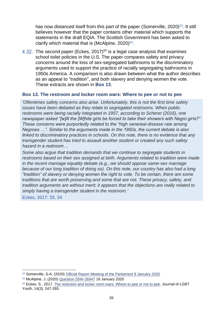has now distanced itself from this part of the paper (Somerville, 2020)<sup>53</sup>. It still believes however that the paper contains other material which supports the statements in the draft EQIA. The Scottish Government has been asked to clarify which material that is (McAlpine,  $2020$ )<sup>54</sup>.

The second paper (Eckes, 2017) <sup>55</sup> is a legal case analysis that examines school toilet policies in the U.S. The paper compares safety and privacy concerns around the loss of sex-segregated bathrooms to the discriminatory arguments used to support the practice of racially segregating bathrooms in 1950s America. A comparison is also drawn between what the author describes as an appeal to "tradition", and both slavery and denying women the vote. These extracts are shown in **[Box 13](#page-26-0)**.

#### <span id="page-26-0"></span>**Box 13. The restroom and locker room wars: Where to pee or not to pee**

*'Oftentimes safety concerns also arise. Unfortunately, this is not the first time safety issues have been debated as they relate to segregated restrooms. When public restrooms were being racially integrated in 1957, according to Scherer (2016), one newspaper asked "[w]ill the [W]hite girls be forced to take their showers with Negro girls?" These concerns were purportedly related to the "high venereal-disease rate among Negroes …". Similar to the arguments made in the 1950s, the current debate is also linked to discriminatory practices in schools. On this note, there is no evidence that any transgender student has tried to assault another student or created any such safety hazard in a restroom…*

*Some also argue that tradition demands that we continue to segregate students in restrooms based on their sex assigned at birth. Arguments related to tradition were made in the recent marriage equality debate (e.g., we should oppose same-sex marriage because of our long tradition of doing so). On this note, our country has also had a long "tradition" of slavery or denying women the right to vote. To be certain, there are some traditions that are worth preserving and some that are not. These privacy, safety, and tradition arguments are without merit; it appears that the objections are really related to simply having a transgender student in the restroom.'*

Eckes, 2017: 33, 34

<sup>53</sup> Somerville, S-A. (2020) [Official Report Meeting of the Parliament 8 January 2020](http://www.parliament.scot/parliamentarybusiness/report.aspx?r=12446&i=112489)

<sup>54</sup> McAlpine, J. (2020) [Question S5W-26947](https://www.parliament.scot/parliamentarybusiness/28877.aspx?SearchType=Advance&ReferenceNumbers=S5W-26947&ResultsPerPage=10) 16 January 2020

<sup>55</sup> Eckes, S., 2017. [The restroom and locker room wars: Where to pee or not to pee.](https://www.tandfonline.com/doi/abs/10.1080/19361653.2017.1324345?journalCode=wjly20) Journal of LGBT Youth, 14(3): 247-265.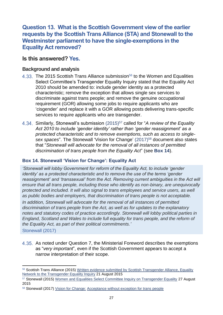**Question 13. What is the Scottish Government view of the earlier requests by the Scottish Trans Alliance (STA) and Stonewall to the Westminster parliament to have the single-exemptions in the Equality Act removed?**

#### **Is this answered? Yes.**

#### **Background and analysis**

- 4.33. The 2015 Scottish Trans Alliance submission<sup>56</sup> to the Women and Equalities Select Committee's Transgender Equality Inquiry stated that the Equality Act 2010 should be amended to: include gender identity as a protected characteristic; remove the exception that allows single sex services to discriminate against trans people; and remove the genuine occupational requirement (GOR) allowing some jobs to require applicants who are 'cisgender' and replace it with a GOR allowing posts delivering trans-specific services to require applicants who are transgender.
- 4.34. Similarly, Stonewall's submission (2015)<sup>57</sup> called for "*A review of the Equality Act 2010 to include 'gender identity' rather than 'gender reassignment' as a protected characteristic and to remove exemptions, such as access to single*sex spaces". The Stonewall 'Vision for Change' (2017)<sup>58</sup> document also states that "*Stonewall will advocate for the removal of all instances of permitted discrimination of trans people from the Equality Act*" (see **[Box 14](#page-27-0)**).

#### <span id="page-27-0"></span>**Box 14. Stonewall 'Vision for Change': Equality Act**

*'Stonewall will lobby Government for reform of the Equality Act, to include 'gender identity' as a protected characteristic and to remove the use of the terms 'gender reassignment' and 'transsexual' from the Act. Removing current ambiguities in the Act will ensure that all trans people, including those who identify as non-binary, are unequivocally protected and included. It will also signal to trans employees and service users, as well as public bodies and employers, that discrimination of trans people is not acceptable.* 

*In addition, Stonewall will advocate for the removal of all instances of permitted discrimination of trans people from the Act, as well as for updates to the explanatory notes and statutory codes of practice accordingly. Stonewall will lobby political parties in England, Scotland and Wales to include full equality for trans people, and the reform of the Equality Act, as part of their political commitments.'*

Stonewall (2017)

4.35. As noted under Question 7, the Ministerial Foreword describes the exemptions as "*very important*", even if the Scottish Government appears to accept a narrow interpretation of their scope.

<sup>56</sup> Scottish Trans Alliance (2015) [Written evidence submitted by Scottish Transgender Alliance, Equality](http://data.parliament.uk/writtenevidence/committeeevidence.svc/evidencedocument/women-and-equalities-committee/transgender-equality/written/19659.pdf) [Network to the Transgender Equality Inquiry](http://data.parliament.uk/writtenevidence/committeeevidence.svc/evidencedocument/women-and-equalities-committee/transgender-equality/written/19659.pdf) 21 August 2015

<sup>57</sup> Stonewall (2015) [Women and Equalities Select Committee Inquiry on Transgender Equality](https://www.stonewall.org.uk/women-and-equalities-select-committee-inquiry-transgender-equality) 27 August 2015

<sup>58</sup> Stonewall (2017) Vision for Change: [Acceptance without exception for trans people](https://www.stonewall.org.uk/system/files/a_vision_for_change.pdf)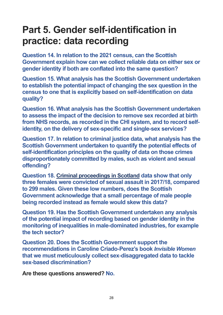# <span id="page-28-0"></span>**Part 5. Gender self-identification in practice: data recording**

**Question 14. In relation to the 2021 census, can the Scottish Government explain how can we collect reliable data on either sex or gender identity if both are conflated into the same question?**

**Question 15. What analysis has the Scottish Government undertaken to establish the potential impact of changing the sex question in the census to one that is explicitly based on self-identification on data quality?**

**Question 16. What analysis has the Scottish Government undertaken to assess the impact of the decision to remove sex recorded at birth from NHS records, as recorded in the CHI system, and to record selfidentity, on the delivery of sex-specific and single-sex services?**

**Question 17. In relation to criminal justice data, what analysis has the Scottish Government undertaken to quantify the potential effects of self-identification principles on the quality of data on those crimes disproportionately committed by males, such as violent and sexual offending?**

**Question 18. [Criminal proceedings in Scotland](https://www.gov.scot/publications/criminal-proceedings-scotland-2017-18/) data show that only three females were convicted of sexual assault in 2017/18, compared to 299 males. Given these low numbers, does the Scottish Government acknowledge that a small percentage of male people being recorded instead as female would skew this data?**

**Question 19. Has the Scottish Government undertaken any analysis of the potential impact of recording based on gender identity in the monitoring of inequalities in male-dominated industries, for example the tech sector?**

**Question 20. Does the Scottish Government support the recommendations in Caroline Criado-Perez's book** *Invisible Women*  **that we must meticulously collect sex-disaggregated data to tackle sex-based discrimination?**

**Are these questions answered? No.**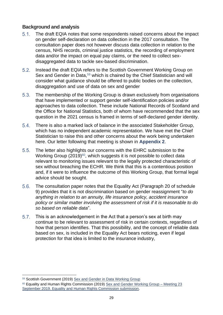#### **Background and analysis**

- $5.1.$ The draft EQIA notes that some respondents raised concerns about the impact on gender self-declaration on data collection in the 2017 consultation. The consultation paper does not however discuss data collection in relation to the census, NHS records, criminal justice statistics, the recording of employment data and/or the impact on equal pay claims, or the need to collect sexdisaggregated data to tackle sex-based discrimination.
- $5.2.$ Instead the draft EQIA refers to the Scottish Government Working Group on Sex and Gender in Data,<sup>59</sup> which is chaired by the Chief Statistician and will consider what guidance should be offered to public bodies on the collection, disaggregation and use of data on sex and gender
- $5.3.$ The membership of the Working Group is drawn exclusively from organisations that have implemented or support gender self-identification policies and/or approaches to data collection. These include National Records of Scotland and the Office for National Statistics, both of whom have recommended that the sex question in the 2021 census is framed in terms of self-declared gender identity.
- $5.4.$ There is also a marked lack of balance in the associated Stakeholder Group, which has no independent academic representation. We have met the Chief Statistician to raise this and other concerns about the work being undertaken here. Our letter following that meeting is shown in **Appendix 2**.
- $5.5.$ The letter also highlights our concerns with the EHRC submission to the Working Group  $(2019)^{60}$ , which suggests it is not possible to collect data relevant to monitoring issues relevant to the legally protected characteristic of sex without breaching the ECHR. We think that this is a contentious position and, if it were to influence the outcome of this Working Group, that formal legal advice should be sought.
- $5.6.$ The consultation paper notes that the Equality Act (Paragraph 20 of schedule 9) provides that it is not discrimination based on gender reassignment "*to do anything in relation to an annuity, life insurance policy, accident insurance policy or similar matter involving the assessment of risk if it is reasonable to do so based on reliable data*".
- $5.7.$ This is an acknowledgement in the Act that a person's sex at birth may continue to be relevant to assessment of risk in certain contexts, regardless of how that person identifies. That this possibility, and the concept of reliable data based on sex, is included in the Equality Act bears noticing, even if legal protection for that idea is limited to the insurance industry,

<sup>59</sup> Scottish Government (2019) [Sex and Gender in Data Working Group](https://www.gov.scot/groups/sex-and-gender-in-data-working-group/)

<sup>&</sup>lt;sup>60</sup> Equality and Human Rights Commission (2019) [Sex and Gender Working Group –](https://www.gov.scot/binaries/content/documents/govscot/publications/minutes/2019/09/sex-and-gender-in-data-working-group-meeting-september-2019/documents/ehrc-submission-on-collecting-and-presenting-data-on-sex-and-gender/ehrc-submission-on-collecting-and-presenting-data-on-sex-and-gender/govscot%3Adocument/EHRC%2Bsubmission%2Bon%2Bcollecting%2Band%2Bpresenting%2Bdata%2Bon%2Bsex%2Band%2Bgender..pdf?forceDownload=true) Meeting 23 [September 2019. Equality and Human Rights Commission submission.](https://www.gov.scot/binaries/content/documents/govscot/publications/minutes/2019/09/sex-and-gender-in-data-working-group-meeting-september-2019/documents/ehrc-submission-on-collecting-and-presenting-data-on-sex-and-gender/ehrc-submission-on-collecting-and-presenting-data-on-sex-and-gender/govscot%3Adocument/EHRC%2Bsubmission%2Bon%2Bcollecting%2Band%2Bpresenting%2Bdata%2Bon%2Bsex%2Band%2Bgender..pdf?forceDownload=true)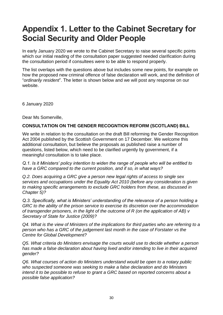### <span id="page-30-0"></span>**Appendix 1. Letter to the Cabinet Secretary for Social Security and Older People**

In early January 2020 we wrote to the Cabinet Secretary to raise several specific points which our initial reading of the consultation paper suggested needed clarification during the consultation period if consultees were to be able to respond properly.

The list overlaps with the questions above but includes some new points, for example on how the proposed new criminal offence of false declaration will work, and the definition of "*ordinarily resident*". The letter is shown below and we will post any response on our website.

6 January 2020

Dear Ms Somerville,

#### **CONSULTATION ON THE GENDER RECOGNTION REFORM (SCOTLAND) BILL**

We write in relation to the consultation on the draft Bill reforming the Gender Recognition Act 2004 published by the Scottish Government on 17 December. We welcome this additional consultation, but believe the proposals as published raise a number of questions, listed below, which need to be clarified urgently by government, if a meaningful consultation is to take place.

*Q.1. Is it Ministers' policy intention to widen the range of people who will be entitled to have a GRC compared to the current position, and if so, in what ways?* 

*Q.2. Does acquiring a GRC give a person new legal rights of access to single sex services and occupations under the Equality Act 2010 (before any consideration is given to making specific arrangements to exclude GRC holders from these, as discussed in Chapter 5)?* 

*Q.3. Specifically, what is Ministers' understanding of the relevance of a person holding a GRC to the ability of the prison service to exercise its discretion over the accommodation of transgender prisoners, in the light of the outcome of R (on the application of AB) v Secretary of State for Justice (2009)?* 

*Q4. What is the view of Ministers of the implications for third parties who are referring to a person who has a GRC of the judgement last month in the case of Forstater vs the Centre for Global Development?* 

*Q5. What criteria do Ministers envisage the courts would use to decide whether a person has made a false declaration about having lived and/or intending to live in their acquired gender?* 

*Q6. What courses of action do Ministers understand would be open to a notary public who suspected someone was seeking to make a false declaration and do Ministers intend it to be possible to refuse to grant a GRC based on reported concerns about a possible false application?*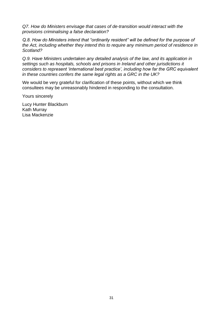*Q7. How do Ministers envisage that cases of de-transition would interact with the provisions criminalising a false declaration?* 

*Q.8. How do Ministers intend that "ordinarily resident" will be defined for the purpose of the Act, including whether they intend this to require any minimum period of residence in Scotland?* 

*Q.9. Have Ministers undertaken any detailed analysis of the law, and its application in settings such as hospitals, schools and prisons in Ireland and other jurisdictions it considers to represent 'international best practice', including how far the GRC equivalent in these countries confers the same legal rights as a GRC in the UK?* 

We would be very grateful for clarification of these points, without which we think consultees may be unreasonably hindered in responding to the consultation.

Yours sincerely

Lucy Hunter Blackburn Kath Murray Lisa Mackenzie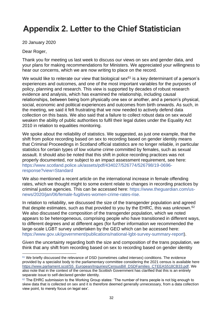### <span id="page-32-0"></span>**Appendix 2. Letter to the Chief Statistician**

20 January 2020

#### Dear Roger,

Thank you for meeting us last week to discuss our views on sex and gender data, and your plans for making recommendations for Ministers. We appreciated your willingness to hear our concerns, which we are now writing to place on the record.

We would like to reiterate our view that biological sex $61$  is a key determinant of a person's experiences and outcomes, and one of the most important variables for the purposes of policy, planning and research. This view is supported by decades of robust research evidence and analysis, which has examined the relationship, including causal relationships, between being born physically one sex or another, and a person's physical, social, economic and political experiences and outcomes from birth onwards. As such, in the meeting, we said it felt frustrating that we now needed to actively defend data collection on this basis. We also said that a failure to collect robust data on sex would weaken the ability of public authorities to fulfil their legal duties under the Equality Act 2010 in relation to equalities monitoring.

We spoke about the reliability of statistics. We suggested, as just one example, that the shift from police recording based on sex to recording based on gender identity means that Criminal Proceedings in Scotland official statistics are no longer reliable, in particular statistics for certain types of low volume crime committed by females, such as sexual assault. It should also be noted that this shift in police recording practices was not properly documented, nor subject to an impact assessment requirement, see here: [https://www.scotland.police.uk/assets/pdf/434027/526774/526798/19-0696](https://www.scotland.police.uk/assets/pdf/434027/526774/526798/19-0696-response?view=Standard) [response?view=Standard](https://www.scotland.police.uk/assets/pdf/434027/526774/526798/19-0696-response?view=Standard)

We also mentioned a recent article on the international increase in female offending rates, which we thought might to some extent relate to changes in recording practices by criminal justice agencies. This can be accessed here: [https://www.theguardian.com/us](https://www.theguardian.com/us-news/2020/jan/06/female-fugitives-women-crime-rates-rise)[news/2020/jan/06/female-fugitives-women-crime-rates-rise.](https://www.theguardian.com/us-news/2020/jan/06/female-fugitives-women-crime-rates-rise)

In relation to reliability, we discussed the size of the transgender population and agreed that despite estimates, such as that provided to you by the EHRC, this was unknown.<sup>62</sup> We also discussed the composition of the transgender population, which we noted appears to be heterogeneous, comprising people who have transitioned in different ways, to different degrees and at different ages (for further information we recommended the large-scale LGBT survey undertaken by the GEO which can be accessed here: [https://www.gov.uk/government/publications/national-lgbt-survey-summary-report\)](https://www.gov.uk/government/publications/national-lgbt-survey-summary-report).

Given the uncertainty regarding both the size and composition of the trans population, we think that any shift from recording based on sex to recording based on gender identity

<sup>61</sup> We briefly discussed the relevance of DSD (sometimes called intersex) conditions. The evidence provided by a specialist body to the parliamentary committee considering the 2021 census is available here [https://www.parliament.scot/S5\\_European/Inquiries/CensusBill\\_DSDFamilies\\_CTEEAS518CB33.pdf.](https://www.parliament.scot/S5_European/Inquiries/CensusBill_DSDFamilies_CTEEAS518CB33.pdf) We also note that in the context of the census the Scottish Government has clarified that this is an entirely separate issue to self-declared gender identity.

<sup>62</sup> The EHRC submission to the Working Group states: 'The number of trans people is not big enough to skew data that is collected on sex and it is therefore deemed generally unnecessary, from a data collection view point, to merely focus on legal sex'.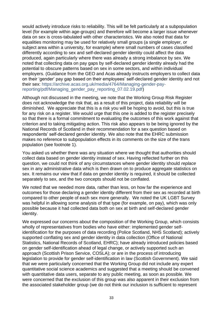would actively introduce risks to reliability. This will be felt particularly at a subpopulation level (for example within age-groups) and therefore will become a larger issue whenever data on sex is cross-tabulated with other characteristics. We also noted that data for equalities monitoring may be used for relatively small groups (a single employer, or subject area within a university, for example) where small numbers of cases classified differently according to sex and self-declared gender identity could affect the data produced, again particularly where there was already a strong imbalance by sex. We noted that collecting data on pay gaps by self-declared gender identity already had the potential to obscure patterns based on sex in some sectors, and within individual employers. (Guidance from the GEO and Acas already instructs employers to collect data on their 'gender' pay gap based on their employees' self-declared gender identity and not their sex: [https://archive.acas.org.uk/media/4764/Managing-gender-pay](https://archive.acas.org.uk/media/4764/Managing-gender-pay-reporting/pdf/Managing_gender_pay_reporting_07.02.19.pdf)[reporting/pdf/Managing\\_gender\\_pay\\_reporting\\_07.02.19.pdf\)](https://archive.acas.org.uk/media/4764/Managing-gender-pay-reporting/pdf/Managing_gender_pay_reporting_07.02.19.pdf)

Although not discussed in the meeting, we note that the Working Group Risk Register does not acknowledge the risk that, as a result of this project, data reliability will be diminished. We appreciate that this is a risk you will be hoping to avoid, but this is true for any risk on a register. We would urge that this one is added to the register precisely so that there is a formal commitment to evaluating the outcomes of this work against that criterion and to taking mitigating action. This risk also appears to be being ignored by the National Records of Scotland in their recommendation for a sex question based on respondents' self-declared gender identity. We also note that the EHRC submission makes no reference to subpopulation effects in its comments on the size of the trans population (see footnote 1).

You asked us whether there was any situation where we thought that authorities should collect data based on gender identity instead of sex. Having reflected further on this question, we could not think of any circumstances where gender identity should *replace* sex in any administrative data which is then drawn on to produce aggregate statistics on sex. It remains our view that if data on gender identity is required, it should be collected separately to sex, and the two concepts should not be conflated.

We noted that we needed more data, rather than less, on how far the experience and outcomes for those declaring a gender identity different from their sex as recorded at birth compared to other people of each sex more generally. We noted the UK LGBT Survey was helpful in allowing some analysis of that type (for example, on pay), which was only possible because it had collected data both on sex at birth and self-declared gender identity.

We expressed our concerns about the composition of the Working Group, which consists wholly of representatives from bodies who have either: implemented gender selfidentification for the purposes of data recording (Police Scotland, NHS Scotland); actively supported conflating sex and gender identity in data collection (Office of National Statistics, National Records of Scotland, EHRC); have already introduced policies based on gender self-identification ahead of legal change, or actively supported such an approach (Scottish Prison Service, COSLA); or are in the process of introducing legislation to provide for gender self-identification in law (Scottish Government). We said that we were particularly concerned that the Working Group did not include any expert quantitative social science academics and suggested that a meeting should be convened with quantitative data users, separate to any public meeting, as soon as possible. We were concerned that the exclusion of this group was also apparent in their exclusion from the associated stakeholder group (we do not think our inclusion is sufficient to represent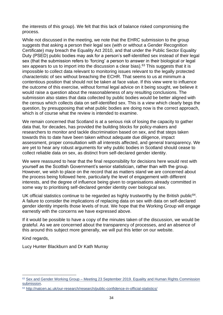the interests of this group). We felt that this lack of balance risked compromising the process.

While not discussed in the meeting, we note that the EHRC submission to the group suggests that asking a person their legal sex (with or without a Gender Recognition Certificate) may breach the Equality Act 2010, and that under the Public Sector Equality Duty (PSED) public bodies may ask for a person's self-identified sex instead of their legal sex (that the submission refers to 'forcing' a person to answer in their biological or legal sex appears to us to import into the discussion a clear bias).<sup>63</sup> This suggests that it is impossible to collect data relevant to monitoring issues relevant to the legally protected characteristic of sex without breaching the ECHR. That seems to us at minimum a contentious position that should not be taken at face value. If this view were to influence the outcome of this exercise, without formal legal advice on it being sought, we believe it would raise a question about the reasonableness of any resulting conclusions. The submission also states that data collected by public bodies would be better aligned with the census which collects data on self-identified sex. This is a view which clearly begs the question, by presupposing that what public bodies are doing now is the correct approach, which is of course what the review is intended to examine.

We remain concerned that Scotland is at a serious risk of losing the capacity to gather data that, for decades, has provided the building blocks for policy-makers and researchers to monitor and tackle discrimination based on sex, and that steps taken towards this to date have been taken without adequate due diligence, impact assessment, proper consultation with all interests affected, and general transparency. We are yet to hear any robust arguments for why public bodies in Scotland should cease to collect reliable data on sex, as distinct from self-declared gender identity.

We were reassured to hear that the final responsibility for decisions here would rest with yourself as the Scottish Government's senior statistician, rather than with the group. However, we wish to place on the record that as matters stand we are concerned about the process being followed here, particularly the level of engagement with different interests, and the degree of influence being given to organisations already committed in some way to prioritising self-declared gender identity over biological sex.

UK official statistics continue to be regarded as highly trustworthy by the British public<sup>64</sup>. A failure to consider the implications of replacing data on sex with data on self-declared gender identity imperils those levels of trust. We hope that the Working Group will engage earnestly with the concerns we have expressed above.

If it would be possible to have a copy of the minutes taken of the discussion, we would be grateful. As we are concerned about the transparency of processes, and an absence of this around this subject more generally, we will put this letter on our website.

Kind regards,

Lucy Hunter Blackburn and Dr Kath Murray

 $63$  Sex and Gender Working Group – Meeting 23 September 2019. Equality and Human Rights Commission [submission.](https://www.gov.scot/binaries/content/documents/govscot/publications/minutes/2019/09/sex-and-gender-in-data-working-group-meeting-september-2019/documents/ehrc-submission-on-collecting-and-presenting-data-on-sex-and-gender/ehrc-submission-on-collecting-and-presenting-data-on-sex-and-gender/govscot%3Adocument/EHRC%2Bsubmission%2Bon%2Bcollecting%2Band%2Bpresenting%2Bdata%2Bon%2Bsex%2Band%2Bgender..pdf?forceDownload=true)

<sup>64</sup> <http://natcen.ac.uk/our-research/research/public-confidence-in-official-statistics/>